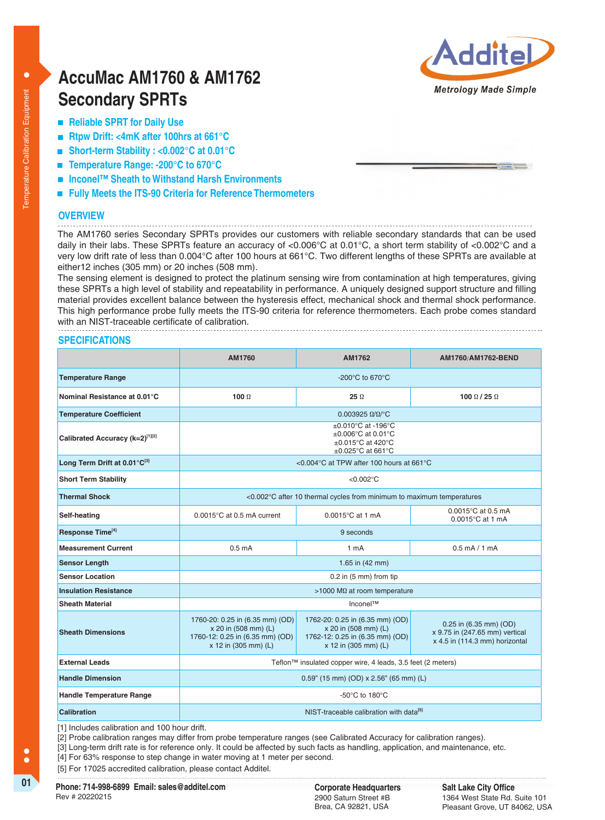

# **AccuMac AM1760 & AM1762 Secondary SPRTs**

- Reliable SPRT for Daily Use
- **Rtpw Drift: <4mK after 100hrs at 661°C**
- **Short-term Stability : <0.002°C at 0.01°C**
- **Temperature Range: -200°C to 670°C**
- **Inconel™ Sheath to Withstand Harsh Environments**
- Fully Meets the ITS-90 Criteria for Reference Thermometers

## **OVERVIEW**

The AM1760 series Secondary SPRTs provides our customers with reliable secondary standards that can be used daily in their labs. These SPRTs feature an accuracy of <0.006°C at 0.01°C, a short term stability of <0.002°C and a very low drift rate of less than 0.004°C after 100 hours at 661°C. Two different lengths of these SPRTs are available at either12 inches (305 mm) or 20 inches (508 mm).

The sensing element is designed to protect the platinum sensing wire from contamination at high temperatures, giving these SPRTs a high level of stability and repeatability in performance. A uniquely designed support structure and filling material provides excellent balance between the hysteresis effect, mechanical shock and thermal shock performance. This high performance probe fully meets the ITS-90 criteria for reference thermometers. Each probe comes standard with an NIST-traceable certificate of calibration.

#### **SPECIFICATIONS**

|                                 | AM1760                                                                                                             | AM1762                                                                                                             | AM1760/AM1762-BEND                                                                         |  |
|---------------------------------|--------------------------------------------------------------------------------------------------------------------|--------------------------------------------------------------------------------------------------------------------|--------------------------------------------------------------------------------------------|--|
| <b>Temperature Range</b>        | $-200^{\circ}$ C to 670 $^{\circ}$ C                                                                               |                                                                                                                    |                                                                                            |  |
| Nominal Resistance at 0.01°C    | 100 $\Omega$                                                                                                       | $25\ \Omega$                                                                                                       | 100 $\Omega$ / 25 $\Omega$                                                                 |  |
| <b>Temperature Coefficient</b>  | $0.003925 \Omega/\Omega$ <sup>o</sup> C                                                                            |                                                                                                                    |                                                                                            |  |
| Calibrated Accuracy (k=2)[1][2] | $\pm 0.010^{\circ}$ C at -196°C<br>$\pm 0.006$ °C at 0.01°C<br>±0.015°C at 420°C<br>$\pm 0.025$ °C at 661°C        |                                                                                                                    |                                                                                            |  |
| Long Term Drift at 0.01°C[3]    | <0.004°C at TPW after 100 hours at 661°C                                                                           |                                                                                                                    |                                                                                            |  |
| <b>Short Term Stability</b>     | $< 0.002$ °C                                                                                                       |                                                                                                                    |                                                                                            |  |
| <b>Thermal Shock</b>            | <0.002°C after 10 thermal cycles from minimum to maximum temperatures                                              |                                                                                                                    |                                                                                            |  |
| Self-heating                    | $0.0015^{\circ}$ C at 0.5 mA current                                                                               | $0.0015^{\circ}$ C at 1 mA                                                                                         | 0.0015°C at 0.5 mA<br>$0.0015^{\circ}$ C at 1 mA                                           |  |
| Response Time <sup>[4]</sup>    | 9 seconds                                                                                                          |                                                                                                                    |                                                                                            |  |
| <b>Measurement Current</b>      | 0.5 <sub>m</sub> A                                                                                                 | 1 <sub>mA</sub>                                                                                                    | $0.5$ mA $/$ 1 mA                                                                          |  |
| <b>Sensor Length</b>            | 1.65 in (42 mm)                                                                                                    |                                                                                                                    |                                                                                            |  |
| <b>Sensor Location</b>          | $0.2$ in (5 mm) from tip                                                                                           |                                                                                                                    |                                                                                            |  |
| <b>Insulation Resistance</b>    | >1000 MΩ at room temperature                                                                                       |                                                                                                                    |                                                                                            |  |
| <b>Sheath Material</b>          | Inconel™                                                                                                           |                                                                                                                    |                                                                                            |  |
| <b>Sheath Dimensions</b>        | 1760-20: 0.25 in (6.35 mm) (OD)<br>x 20 in (508 mm) (L)<br>1760-12: 0.25 in (6.35 mm) (OD)<br>x 12 in (305 mm) (L) | 1762-20: 0.25 in (6.35 mm) (OD)<br>x 20 in (508 mm) (L)<br>1762-12: 0.25 in (6.35 mm) (OD)<br>x 12 in (305 mm) (L) | 0.25 in (6.35 mm) (OD)<br>x 9.75 in (247.65 mm) vertical<br>x 4.5 in (114.3 mm) horizontal |  |
| <b>External Leads</b>           | Teflon™ insulated copper wire, 4 leads, 3.5 feet (2 meters)                                                        |                                                                                                                    |                                                                                            |  |
| <b>Handle Dimension</b>         | $0.59$ " (15 mm) (OD) x 2.56" (65 mm) (L)                                                                          |                                                                                                                    |                                                                                            |  |
| <b>Handle Temperature Range</b> | -50 $\mathrm{^{\circ}C}$ to 180 $\mathrm{^{\circ}C}$                                                               |                                                                                                                    |                                                                                            |  |
| Calibration                     | NIST-traceable calibration with data <sup>[5]</sup>                                                                |                                                                                                                    |                                                                                            |  |

[1] Includes calibration and 100 hour drift.

[2] Probe calibration ranges may differ from probe temperature ranges (see Calibrated Accuracy for calibration ranges).

[3] Long-term drift rate is for reference only. It could be affected by such facts as handling, application, and maintenance, etc.

[4] For 63% response to step change in water moving at 1 meter per second.

[5] For 17025 accredited calibration, please contact Additel.

**01 Corporate Headquarters Phone: 714-998-6899 Email: sales@additel.com** Rev # 20220215

2900 Saturn Street #B Brea, CA 92821, USA

 $\bullet$